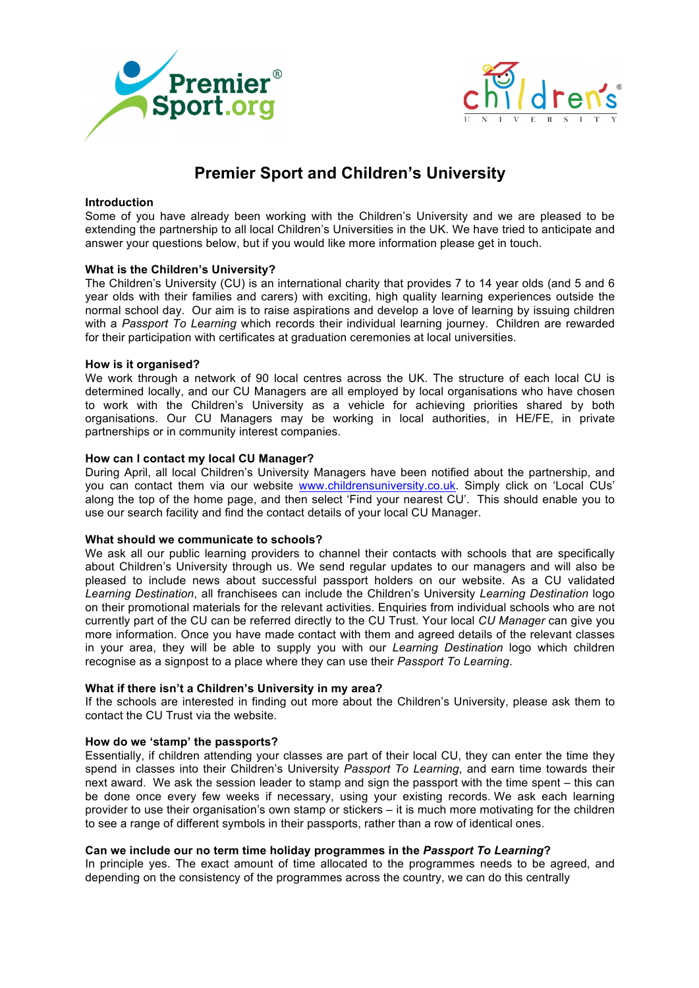



# **Premier Sport and Children's University**

# **Introduction**

Some of you have already been working with the Children's University and we are pleased to be extending the partnership to all local Children's Universities in the UK. We have tried to anticipate and answer your questions below, but if you would like more information please get in touch.

#### **What is the Children's University?**

The Children's University (CU) is an international charity that provides 7 to 14 year olds (and 5 and 6 year olds with their families and carers) with exciting, high quality learning experiences outside the normal school day. Our aim is to raise aspirations and develop a love of learning by issuing children with a *Passport To Learning* which records their individual learning journey. Children are rewarded for their participation with certificates at graduation ceremonies at local universities.

#### **How is it organised?**

We work through a network of 90 local centres across the UK. The structure of each local CU is determined locally, and our CU Managers are all employed by local organisations who have chosen to work with the Children's University as a vehicle for achieving priorities shared by both organisations. Our CU Managers may be working in local authorities, in HE/FE, in private partnerships or in community interest companies.

#### **How can I contact my local CU Manager?**

During April, all local Children's University Managers have been notified about the partnership, and you can contact them via our website www.childrensuniversity.co.uk. Simply click on 'Local CUs' along the top of the home page, and then select 'Find your nearest CU'. This should enable you to use our search facility and find the contact details of your local CU Manager.

#### **What should we communicate to schools?**

We ask all our public learning providers to channel their contacts with schools that are specifically about Children's University through us. We send regular updates to our managers and will also be pleased to include news about successful passport holders on our website. As a CU validated *Learning Destination*, all franchisees can include the Children's University *Learning Destination* logo on their promotional materials for the relevant activities. Enquiries from individual schools who are not currently part of the CU can be referred directly to the CU Trust. Your local *CU Manager* can give you more information. Once you have made contact with them and agreed details of the relevant classes in your area, they will be able to supply you with our *Learning Destination* logo which children recognise as a signpost to a place where they can use their *Passport To Learning*.

## **What if there isn't a Children's University in my area?**

If the schools are interested in finding out more about the Children's University, please ask them to contact the CU Trust via the website.

# **How do we 'stamp' the passports?**

Essentially, if children attending your classes are part of their local CU, they can enter the time they spend in classes into their Children's University *Passport To Learning*, and earn time towards their next award. We ask the session leader to stamp and sign the passport with the time spent – this can be done once every few weeks if necessary, using your existing records. We ask each learning provider to use their organisation's own stamp or stickers – it is much more motivating for the children to see a range of different symbols in their passports, rather than a row of identical ones.

## **Can we include our no term time holiday programmes in the** *Passport To Learning***?**

In principle yes. The exact amount of time allocated to the programmes needs to be agreed, and depending on the consistency of the programmes across the country, we can do this centrally